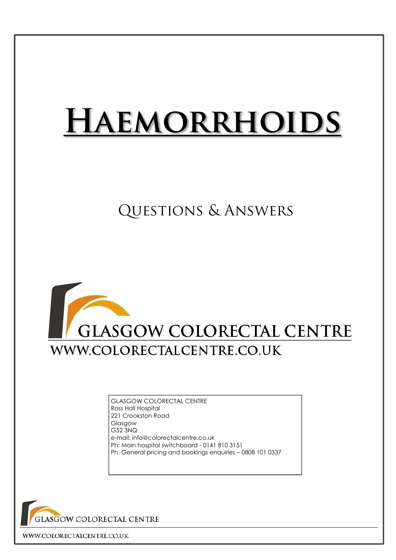# **Haemorrhoids**

## Questions & Answers



GLASGOW COLORECTAL CENTRE Ross Hall Hospital 221 Crookston Road Glasgow G52 3NQ e-mail: info@colorectalcentre.co.uk Ph: Main hospital switchboard - 0141 810 3151 Ph. General pricing and bookings enquiries – 0808 101 0337



WWW.COLORECTALCENTRE.CO.UK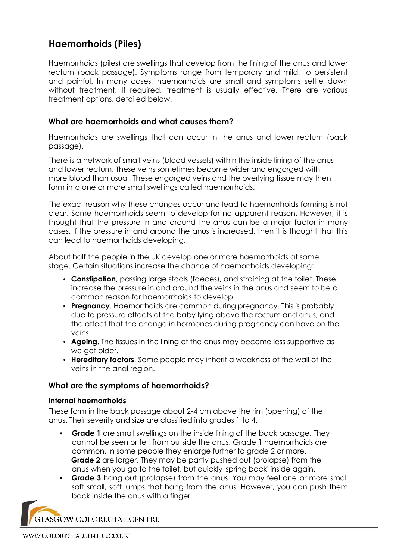### **Haemorrhoids (Piles)**

Haemorrhoids (piles) are swellings that develop from the lining of the anus and lower rectum (back passage). Symptoms range from temporary and mild, to persistent and painful. In many cases, haemorrhoids are small and symptoms settle down without treatment. If required, treatment is usually effective. There are various treatment options, detailed below.

#### **What are haemorrhoids and what causes them?**

Haemorrhoids are swellings that can occur in the anus and lower rectum (back passage).

There is a network of small veins (blood vessels) within the inside lining of the anus and lower rectum. These veins sometimes become wider and engorged with more blood than usual. These engorged veins and the overlying tissue may then form into one or more small swellings called haemorrhoids.

The exact reason why these changes occur and lead to haemorrhoids forming is not clear. Some haemorrhoids seem to develop for no apparent reason. However, it is thought that the pressure in and around the anus can be a major factor in many cases. If the pressure in and around the anus is increased, then it is thought that this can lead to haemorrhoids developing.

About half the people in the UK develop one or more haemorrhoids at some stage. Certain situations increase the chance of haemorrhoids developing:

- **Constipation**, passing large stools (faeces), and straining at the toilet. These increase the pressure in and around the veins in the anus and seem to be a common reason for haemorrhoids to develop.
- **Pregnancy**. Haemorrhoids are common during pregnancy. This is probably due to pressure effects of the baby lying above the rectum and anus, and the affect that the change in hormones during pregnancy can have on the veins.
- **Ageing**. The tissues in the lining of the anus may become less supportive as we get older.
- **Hereditary factors**. Some people may inherit a weakness of the wall of the veins in the anal region.

#### **What are the symptoms of haemorrhoids?**

#### **Internal haemorrhoids**

These form in the back passage about 2-4 cm above the rim (opening) of the anus. Their severity and size are classified into grades 1 to 4.

- **Grade 1** are small swellings on the inside lining of the back passage. They cannot be seen or felt from outside the anus. Grade 1 haemorrhoids are common. In some people they enlarge further to grade 2 or more. **Grade 2** are larger. They may be partly pushed out (prolapse) from the anus when you go to the toilet, but quickly 'spring back' inside again.
- **Grade 3** hang out (prolapse) from the anus. You may feel one or more small soft small, soft lumps that hang from the anus. However, you can push them back inside the anus with a finger.

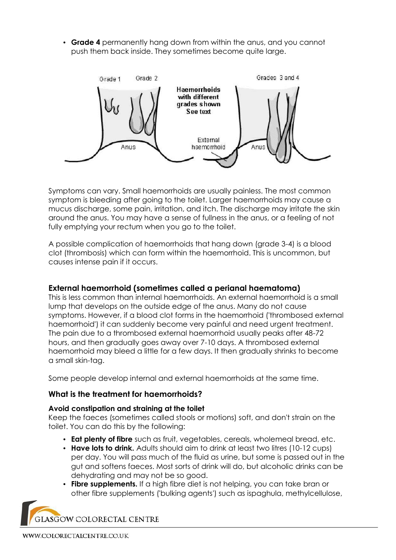• **Grade 4** permanently hang down from within the anus, and you cannot push them back inside. They sometimes become quite large.



Symptoms can vary. Small haemorrhoids are usually painless. The most common symptom is bleeding after going to the toilet. Larger haemorrhoids may cause a mucus discharge, some pain, irritation, and itch. The discharge may irritate the skin around the anus. You may have a sense of fullness in the anus, or a feeling of not fully emptying your rectum when you go to the toilet.

A possible complication of haemorrhoids that hang down (grade 3-4) is a blood clot (thrombosis) which can form within the haemorrhoid. This is uncommon, but causes intense pain if it occurs.

#### **External haemorrhoid (sometimes called a perianal haematoma)**

This is less common than internal haemorrhoids. An external haemorrhoid is a small lump that develops on the outside edge of the anus. Many do not cause symptoms. However, if a blood clot forms in the haemorrhoid ('thrombosed external haemorrhoid') it can suddenly become very painful and need urgent treatment. The pain due to a thrombosed external haemorrhoid usually peaks after 48-72 hours, and then gradually goes away over 7-10 days. A thrombosed external haemorrhoid may bleed a little for a few days. It then gradually shrinks to become a small skin-tag.

Some people develop internal and external haemorrhoids at the same time.

#### **What is the treatment for haemorrhoids?**

#### **Avoid constipation and straining at the toilet**

Keep the faeces (sometimes called stools or motions) soft, and don't strain on the toilet. You can do this by the following:

- **Eat plenty of fibre** such as fruit, vegetables, cereals, wholemeal bread, etc.
- **Have lots to drink.** Adults should aim to drink at least two litres (10-12 cups) per day. You will pass much of the fluid as urine, but some is passed out in the gut and softens faeces. Most sorts of drink will do, but alcoholic drinks can be dehydrating and may not be so good.
- **Fibre supplements.** If a high fibre diet is not helping, you can take bran or other fibre supplements ('bulking agents') such as ispaghula, methylcellulose,

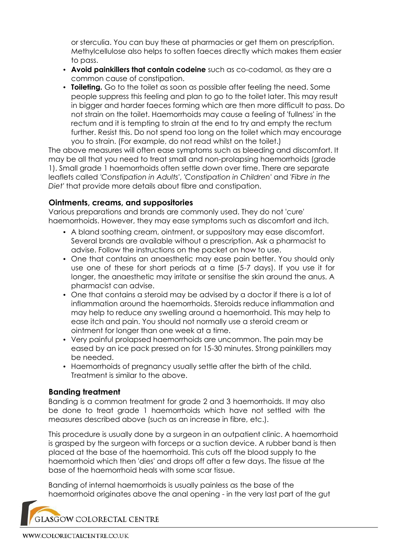or sterculia. You can buy these at pharmacies or get them on prescription. Methylcellulose also helps to soften faeces directly which makes them easier to pass.

- **Avoid painkillers that contain codeine** such as co-codamol, as they are a common cause of constipation.
- **Toileting.** Go to the toilet as soon as possible after feeling the need. Some people suppress this feeling and plan to go to the toilet later. This may result in bigger and harder faeces forming which are then more difficult to pass. Do not strain on the toilet. Haemorrhoids may cause a feeling of 'fullness' in the rectum and it is tempting to strain at the end to try and empty the rectum further. Resist this. Do not spend too long on the toilet which may encourage you to strain. (For example, do not read whilst on the toilet.)

The above measures will often ease symptoms such as bleeding and discomfort. It may be all that you need to treat small and non-prolapsing haemorrhoids (grade 1). Small grade 1 haemorrhoids often settle down over time. There are separate leaflets called *'Constipation in Adults*', *'Constipation in Children'* and *'Fibre in the Diet'* that provide more details about fibre and constipation.

#### **Ointments, creams, and suppositories**

Various preparations and brands are commonly used. They do not 'cure' haemorrhoids. However, they may ease symptoms such as discomfort and itch.

- A bland soothing cream, ointment, or suppository may ease discomfort. Several brands are available without a prescription. Ask a pharmacist to advise. Follow the instructions on the packet on how to use.
- One that contains an anaesthetic may ease pain better. You should only use one of these for short periods at a time (5-7 days). If you use it for longer, the anaesthetic may irritate or sensitise the skin around the anus. A pharmacist can advise.
- One that contains a steroid may be advised by a doctor if there is a lot of inflammation around the haemorrhoids. Steroids reduce inflammation and may help to reduce any swelling around a haemorrhoid. This may help to ease itch and pain. You should not normally use a steroid cream or ointment for longer than one week at a time.
- Very painful prolapsed haemorrhoids are uncommon. The pain may be eased by an ice pack pressed on for 15-30 minutes. Strong painkillers may be needed.
- Haemorrhoids of pregnancy usually settle after the birth of the child. Treatment is similar to the above.

#### **Banding treatment**

Banding is a common treatment for grade 2 and 3 haemorrhoids. It may also be done to treat grade 1 haemorrhoids which have not settled with the measures described above (such as an increase in fibre, etc.).

This procedure is usually done by a surgeon in an outpatient clinic. A haemorrhoid is grasped by the surgeon with forceps or a suction device. A rubber band is then placed at the base of the haemorrhoid. This cuts off the blood supply to the haemorrhoid which then 'dies' and drops off after a few days. The tissue at the base of the haemorrhoid heals with some scar tissue.

Banding of internal haemorrhoids is usually painless as the base of the haemorrhoid originates above the anal opening - in the very last part of the gut

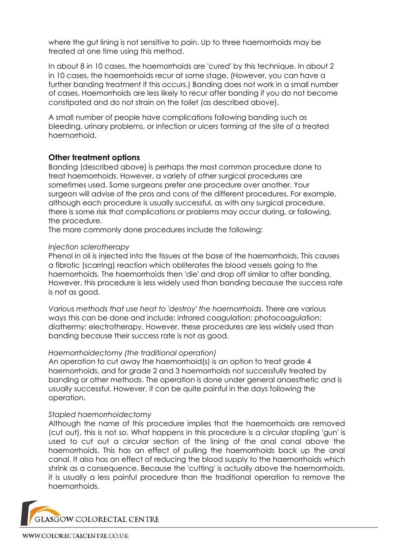where the gut lining is not sensitive to pain. Up to three haemorrhoids may be treated at one time using this method.

In about 8 in 10 cases, the haemorrhoids are 'cured' by this technique. In about 2 in 10 cases, the haemorrhoids recur at some stage. (However, you can have a further banding treatment if this occurs.) Banding does not work in a small number of cases. Haemorrhoids are less likely to recur after banding if you do not become constipated and do not strain on the toilet (as described above).

A small number of people have complications following banding such as bleeding, urinary problems, or infection or ulcers forming at the site of a treated haemorrhoid.

#### **Other treatment options**

Banding (described above) is perhaps the most common procedure done to treat haemorrhoids. However, a variety of other surgical procedures are sometimes used. Some surgeons prefer one procedure over another. Your surgeon will advise of the pros and cons of the different procedures. For example, although each procedure is usually successful, as with any surgical procedure, there is some risk that complications or problems may occur during, or following, the procedure.

The more commonly done procedures include the following:

#### *Injection sclerotherapy*

Phenol in oil is injected into the tissues at the base of the haemorrhoids. This causes a fibrotic (scarring) reaction which obliterates the blood vessels going to the haemorrhoids. The haemorrhoids then 'die' and drop off similar to after banding. However, this procedure is less widely used than banding because the success rate is not as good.

*Various methods that use heat to 'destroy' the haemorrhoids.* There are various ways this can be done and include: infrared coagulation; photocoagulation; diathermy; electrotherapy. However, these procedures are less widely used than banding because their success rate is not as good.

#### *Haemorrhoidectomy (the traditional operation)*

An operation to cut away the haemorrhoid(s) is an option to treat grade 4 haemorrhoids, and for grade 2 and 3 haemorrhoids not successfully treated by banding or other methods. The operation is done under general anaesthetic and is usually successful. However, it can be quite painful in the days following the operation.

#### *Stapled haemorrhoidectomy*

Although the name of this procedure implies that the haemorrhoids are removed (cut out), this is not so. What happens in this procedure is a circular stapling 'gun' is used to cut out a circular section of the lining of the anal canal above the haemorrhoids. This has an effect of pulling the haemorrhoids back up the anal canal. It also has an effect of reducing the blood supply to the haemorrhoids which shrink as a consequence. Because the 'cutting' is actually above the haemorrhoids, it is usually a less painful procedure than the traditional operation to remove the haemorrhoids.